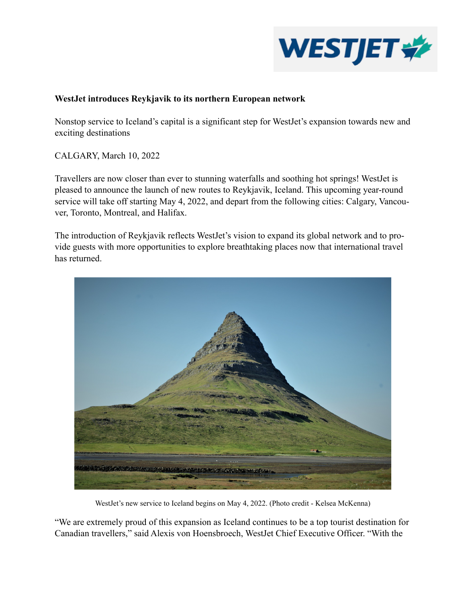

## **WestJet introduces Reykjavik to its northern European network**

Nonstop service to Iceland's capital is a significant step for WestJet's expansion towards new and exciting destinations

CALGARY, March 10, 2022

Travellers are now closer than ever to stunning waterfalls and soothing hot springs! WestJet is pleased to announce the launch of new routes to Reykjavik, Iceland. This upcoming year-round service will take off starting May 4, 2022, and depart from the following cities: Calgary, Vancouver, Toronto, Montreal, and Halifax.

The introduction of Reykjavik reflects WestJet's vision to expand its global network and to provide guests with more opportunities to explore breathtaking places now that international travel has returned.



WestJet's new service to Iceland begins on May 4, 2022. (Photo credit - Kelsea McKenna)

"We are extremely proud of this expansion as Iceland continues to be a top tourist destination for Canadian travellers," said Alexis von Hoensbroech, WestJet Chief Executive Officer. "With the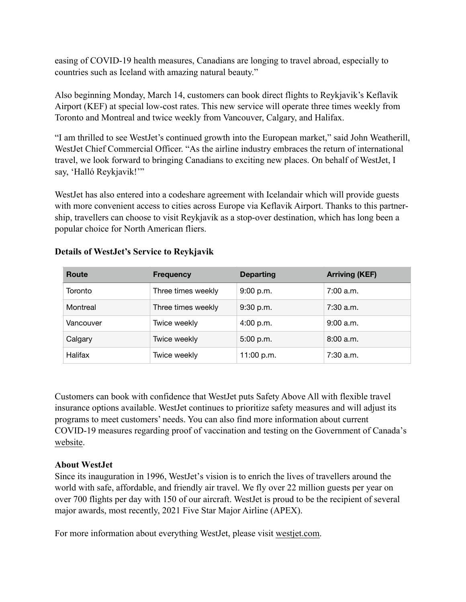easing of COVID-19 health measures, Canadians are longing to travel abroad, especially to countries such as Iceland with amazing natural beauty."

Also beginning Monday, March 14, customers can book direct flights to Reykjavik's Keflavik Airport (KEF) at special low-cost rates. This new service will operate three times weekly from Toronto and Montreal and twice weekly from Vancouver, Calgary, and Halifax.

"I am thrilled to see WestJet's continued growth into the European market," said John Weatherill, WestJet Chief Commercial Officer. "As the airline industry embraces the return of international travel, we look forward to bringing Canadians to exciting new places. On behalf of WestJet, I say, 'Halló Reykjavik!'"

WestJet has also entered into a codeshare agreement with Icelandair which will provide guests with more convenient access to cities across Europe via Keflavik Airport. Thanks to this partnership, travellers can choose to visit Reykjavik as a stop-over destination, which has long been a popular choice for North American fliers.

| Route     | <b>Frequency</b>   | <b>Departing</b> | <b>Arriving (KEF)</b> |
|-----------|--------------------|------------------|-----------------------|
| Toronto   | Three times weekly | 9:00 p.m.        | 7:00 a.m.             |
| Montreal  | Three times weekly | 9:30 p.m.        | 7:30 a.m.             |
| Vancouver | Twice weekly       | 4:00 p.m.        | 9:00 a.m.             |
| Calgary   | Twice weekly       | 5:00 p.m.        | 8:00 a.m.             |
| Halifax   | Twice weekly       | 11:00 p.m.       | $7:30$ a.m.           |

## **Details of WestJet's Service to Reykjavik**

Customers can book with confidence that WestJet puts Safety Above All with flexible travel insurance options available. WestJet continues to prioritize safety measures and will adjust its programs to meet customers' needs. You can also find more information about current COVID-19 measures regarding proof of vaccination and testing on the Government of Canada's [website.](https://travel.gc.ca/travel-covid)

## **About WestJet**

Since its inauguration in 1996, WestJet's vision is to enrich the lives of travellers around the world with safe, affordable, and friendly air travel. We fly over 22 million guests per year on over 700 flights per day with 150 of our aircraft. WestJet is proud to be the recipient of several major awards, most recently, 2021 Five Star Major Airline (APEX).

For more information about everything WestJet, please visit [westjet.com](http://westjet.com).